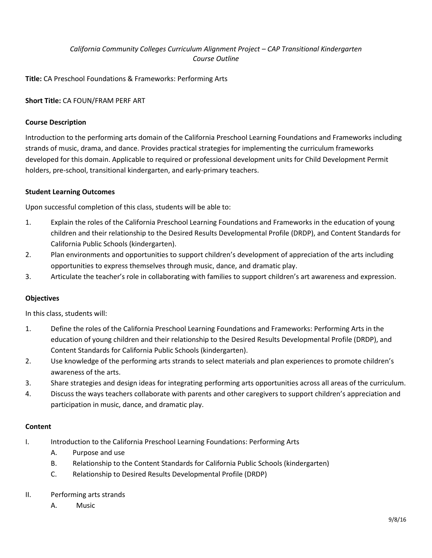# *California Community Colleges Curriculum Alignment Project – CAP Transitional Kindergarten Course Outline*

**Title:** CA Preschool Foundations & Frameworks: Performing Arts

## **Short Title:** CA FOUN/FRAM PERF ART

### **Course Description**

Introduction to the performing arts domain of the California Preschool Learning Foundations and Frameworks including strands of music, drama, and dance. Provides practical strategies for implementing the curriculum frameworks developed for this domain. Applicable to required or professional development units for Child Development Permit holders, pre-school, transitional kindergarten, and early-primary teachers.

### **Student Learning Outcomes**

Upon successful completion of this class, students will be able to:

- 1. Explain the roles of the California Preschool Learning Foundations and Frameworks in the education of young children and their relationship to the Desired Results Developmental Profile (DRDP), and Content Standards for California Public Schools (kindergarten).
- 2. Plan environments and opportunities to support children's development of appreciation of the arts including opportunities to express themselves through music, dance, and dramatic play.
- 3. Articulate the teacher's role in collaborating with families to support children's art awareness and expression.

### **Objectives**

In this class, students will:

- 1. Define the roles of the California Preschool Learning Foundations and Frameworks: Performing Arts in the education of young children and their relationship to the Desired Results Developmental Profile (DRDP), and Content Standards for California Public Schools (kindergarten).
- 2. Use knowledge of the performing arts strands to select materials and plan experiences to promote children's awareness of the arts.
- 3. Share strategies and design ideas for integrating performing arts opportunities across all areas of the curriculum.
- 4. Discuss the ways teachers collaborate with parents and other caregivers to support children's appreciation and participation in music, dance, and dramatic play.

### **Content**

- I. Introduction to the California Preschool Learning Foundations: Performing Arts
	- A. Purpose and use
	- B. Relationship to the Content Standards for California Public Schools (kindergarten)
	- C. Relationship to Desired Results Developmental Profile (DRDP)

### II. Performing arts strands

A. Music